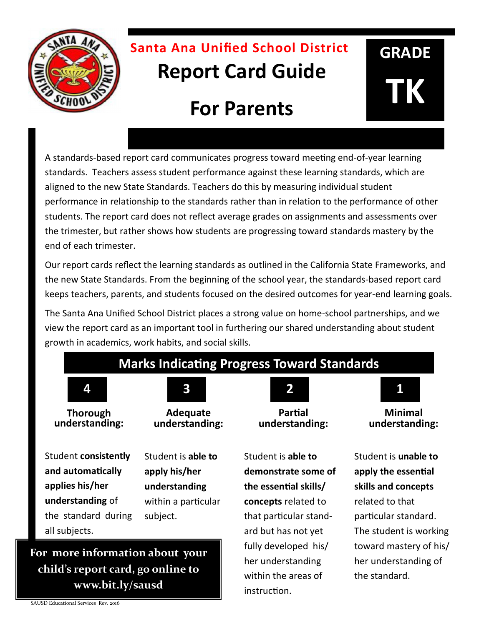

## **Santa Ana Unified School District Report Card Guide**

# **For Parents**

A standards-based report card communicates progress toward meeting end-of-year learning standards. Teachers assess student performance against these learning standards, which are aligned to the new State Standards. Teachers do this by measuring individual student performance in relationship to the standards rather than in relation to the performance of other students. The report card does not reflect average grades on assignments and assessments over the trimester, but rather shows how students are progressing toward standards mastery by the end of each trimester.

Our report cards reflect the learning standards as outlined in the California State Frameworks, and the new State Standards. From the beginning of the school year, the standards-based report card keeps teachers, parents, and students focused on the desired outcomes for year-end learning goals.

The Santa Ana Unified School District places a strong value on home-school partnerships, and we view the report card as an important tool in furthering our shared understanding about student growth in academics, work habits, and social skills.

### **Marks Indicating Progress Toward Standards**



**Thorough understanding:** 



**Adequate understanding:** 

Student **consistently and automatically applies his/her understanding** of the standard during all subjects.

**For more information about your** 

**child's report card, go online to www.bit.ly/sausd**

Student is **able to apply his/her understanding**  within a particular subject.



**GRADE**

**TK**

**Minimal understanding:** 

Student is **able to demonstrate some of the essential skills/ concepts** related to that particular standard but has not yet fully developed his/ her understanding within the areas of instruction.

Student is **unable to apply the essential skills and concepts**  related to that particular standard. The student is working toward mastery of his/ her understanding of the standard.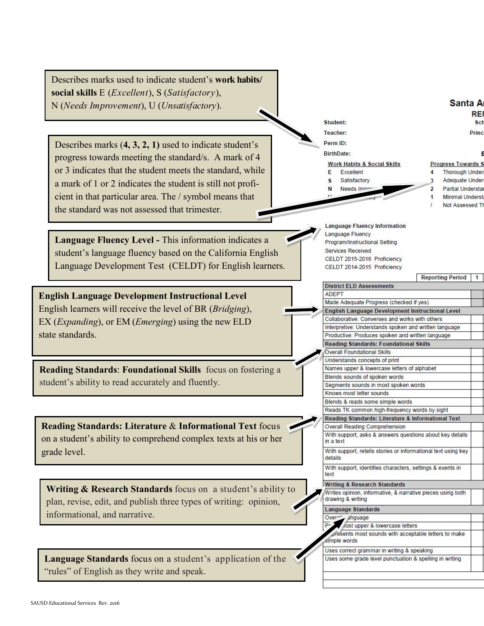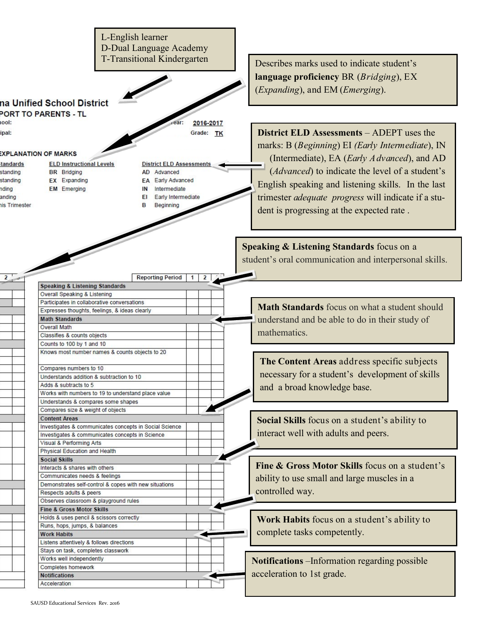